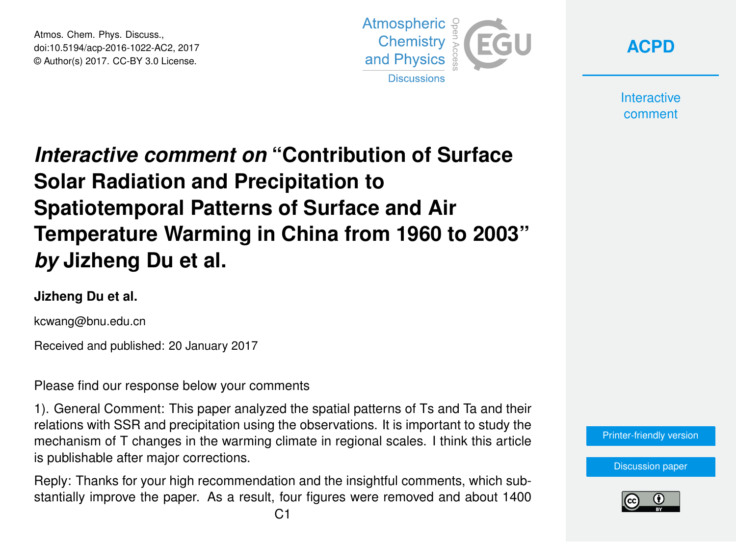Atmos. Chem. Phys. Discuss., doi:10.5194/acp-2016-1022-AC2, 2017 © Author(s) 2017. CC-BY 3.0 License.



**[ACPD](http://www.atmos-chem-phys-discuss.net/)**

**Interactive** comment

## *Interactive comment on* **"Contribution of Surface Solar Radiation and Precipitation to Spatiotemporal Patterns of Surface and Air Temperature Warming in China from 1960 to 2003"** *by* **Jizheng Du et al.**

## **Jizheng Du et al.**

kcwang@bnu.edu.cn

Received and published: 20 January 2017

Please find our response below your comments

1). General Comment: This paper analyzed the spatial patterns of Ts and Ta and their relations with SSR and precipitation using the observations. It is important to study the mechanism of T changes in the warming climate in regional scales. I think this article is publishable after major corrections.

Reply: Thanks for your high recommendation and the insightful comments, which substantially improve the paper. As a result, four figures were removed and about 1400

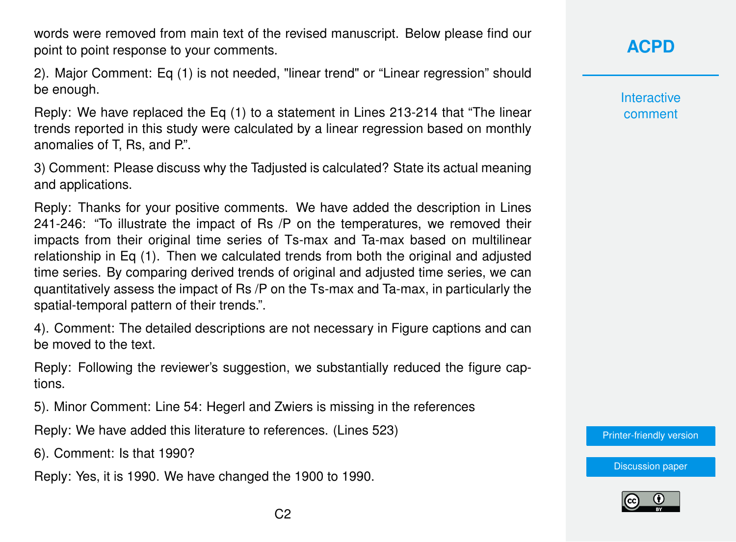words were removed from main text of the revised manuscript. Below please find our point to point response to your comments.

2). Major Comment: Eq (1) is not needed, "linear trend" or "Linear regression" should be enough.

Reply: We have replaced the Eq (1) to a statement in Lines 213-214 that "The linear trends reported in this study were calculated by a linear regression based on monthly anomalies of T, Rs, and P.".

3) Comment: Please discuss why the Tadjusted is calculated? State its actual meaning and applications.

Reply: Thanks for your positive comments. We have added the description in Lines 241-246: "To illustrate the impact of Rs /P on the temperatures, we removed their impacts from their original time series of Ts-max and Ta-max based on multilinear relationship in Eq (1). Then we calculated trends from both the original and adjusted time series. By comparing derived trends of original and adjusted time series, we can quantitatively assess the impact of Rs /P on the Ts-max and Ta-max, in particularly the spatial-temporal pattern of their trends.".

4). Comment: The detailed descriptions are not necessary in Figure captions and can be moved to the text.

Reply: Following the reviewer's suggestion, we substantially reduced the figure captions.

5). Minor Comment: Line 54: Hegerl and Zwiers is missing in the references

Reply: We have added this literature to references. (Lines 523)

6). Comment: Is that 1990?

Reply: Yes, it is 1990. We have changed the 1900 to 1990.

**[ACPD](http://www.atmos-chem-phys-discuss.net/)**

**Interactive** comment

[Printer-friendly version](http://www.atmos-chem-phys-discuss.net/acp-2016-1022/acp-2016-1022-AC2-print.pdf)

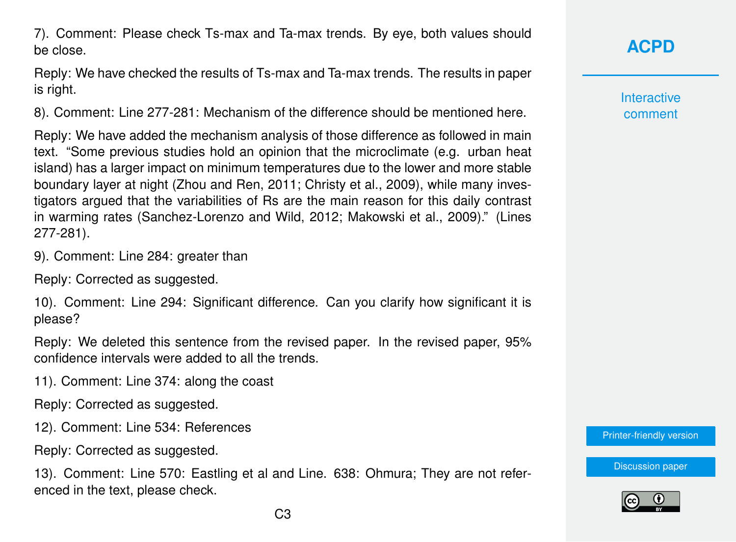7). Comment: Please check Ts-max and Ta-max trends. By eye, both values should be close.

Reply: We have checked the results of Ts-max and Ta-max trends. The results in paper is right.

8). Comment: Line 277-281: Mechanism of the difference should be mentioned here.

Reply: We have added the mechanism analysis of those difference as followed in main text. "Some previous studies hold an opinion that the microclimate (e.g. urban heat island) has a larger impact on minimum temperatures due to the lower and more stable boundary layer at night (Zhou and Ren, 2011; Christy et al., 2009), while many investigators argued that the variabilities of Rs are the main reason for this daily contrast in warming rates (Sanchez-Lorenzo and Wild, 2012; Makowski et al., 2009)." (Lines 277-281).

9). Comment: Line 284: greater than

Reply: Corrected as suggested.

10). Comment: Line 294: Significant difference. Can you clarify how significant it is please?

Reply: We deleted this sentence from the revised paper. In the revised paper, 95% confidence intervals were added to all the trends.

11). Comment: Line 374: along the coast

Reply: Corrected as suggested.

12). Comment: Line 534: References

Reply: Corrected as suggested.

13). Comment: Line 570: Eastling et al and Line. 638: Ohmura; They are not referenced in the text, please check.

## **[ACPD](http://www.atmos-chem-phys-discuss.net/)**

**Interactive** comment

[Printer-friendly version](http://www.atmos-chem-phys-discuss.net/acp-2016-1022/acp-2016-1022-AC2-print.pdf)